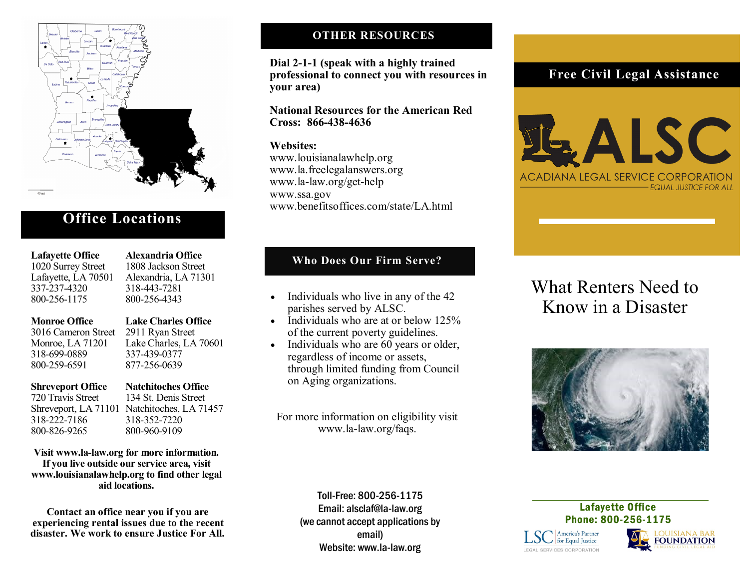

# **Office Locations**

 **Lafayette Office Alexandria Office** Lafayette, LA 70501 337-237-4320 318-443-7281 800-256-1175 800-256-4343

1020 Surrey Street 1808 Jackson Street<br>Lafavette, LA 70501 Alexandria, LA 71301

 **Monroe Office Lake Charles Office**

 3016 Cameron Street 2911 Ryan Street 318-699-0889 337-439-0377 800-259-6591 877-256-0639

Monroe, LA 71201 Lake Charles, LA 70601

318-222-7186 318-352-7220

**Shreveport Office Natchitoches Office**<br> **P20 Travis Street 134 St. Denis Street** 134 St. Denis Street Shreveport, LA 71101 Natchitoches, LA 71457 800-826-9265 800-960-9109

**Visit www.la-law.org for more information. If you live outside our service area, visit www.louisianalawhelp.org to find other legal aid locations.**

**Contact an office near you if you are experiencing rental issues due to the recent disaster. We work to ensure Justice For All.**

## **OTHER RESOURCES**

**Dial 2-1-1 (speak with a highly trained professional to connect you with resources in your area)**

**National Resources for the American Red Cross: 866-438-4636**

**Websites:** www.louisianalawhelp.org www.la.freelegalanswers.org www.la-law.org/get-help www.ssa.gov www.benefitsoffices.com/state/LA.html

## **Who Does Our Firm Serve?**

- Individuals who live in any of the 42<br>
parishes served by ALSC.<br> **Know in a Disaster** parishes served by ALSC.
- Individuals who are at or below 125% of the current poverty guidelines.
- Individuals who are 60 years or older, regardless of income or assets, through limited funding from Council on Aging organizations.

For more information on eligibility visit www.la-law.org/faqs.

# **Free Civil Legal Assistance**



# What Renters Need to



Toll-Free: 800-256-1175 Email: alsclaf@la-law.org (we cannot accept applications by email) Website: www.la-law.org

Lafayette Office Phone: 800-256-1175